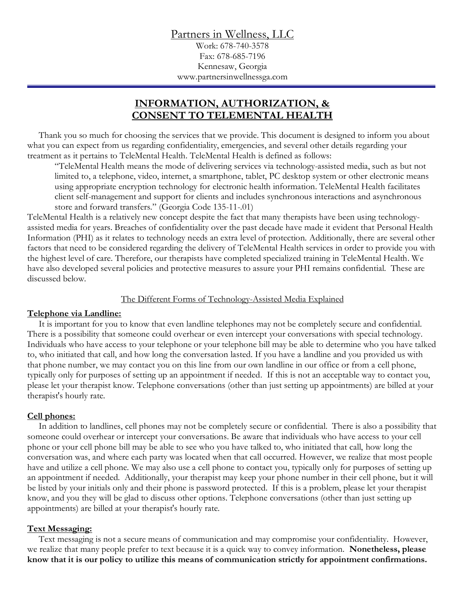Partners in Wellness, LLC

Work: 678-740-3578 Fax: 678-685-7196 Kennesaw, Georgia www.partnersinwellnessga.com

# **INFORMATION, AUTHORIZATION, & CONSENT TO TELEMENTAL HEALTH**

 Thank you so much for choosing the services that we provide. This document is designed to inform you about what you can expect from us regarding confidentiality, emergencies, and several other details regarding your treatment as it pertains to TeleMental Health. TeleMental Health is defined as follows:

"TeleMental Health means the mode of delivering services via technology-assisted media, such as but not limited to, a telephone, video, internet, a smartphone, tablet, PC desktop system or other electronic means using appropriate encryption technology for electronic health information. TeleMental Health facilitates client self-management and support for clients and includes synchronous interactions and asynchronous store and forward transfers." (Georgia Code 135-11-.01)

TeleMental Health is a relatively new concept despite the fact that many therapists have been using technologyassisted media for years. Breaches of confidentiality over the past decade have made it evident that Personal Health Information (PHI) as it relates to technology needs an extra level of protection. Additionally, there are several other factors that need to be considered regarding the delivery of TeleMental Health services in order to provide you with the highest level of care. Therefore, our therapists have completed specialized training in TeleMental Health. We have also developed several policies and protective measures to assure your PHI remains confidential. These are discussed below.

#### The Different Forms of Technology-Assisted Media Explained

### **Telephone via Landline:**

 It is important for you to know that even landline telephones may not be completely secure and confidential. There is a possibility that someone could overhear or even intercept your conversations with special technology. Individuals who have access to your telephone or your telephone bill may be able to determine who you have talked to, who initiated that call, and how long the conversation lasted. If you have a landline and you provided us with that phone number, we may contact you on this line from our own landline in our office or from a cell phone, typically only for purposes of setting up an appointment if needed. If this is not an acceptable way to contact you, please let your therapist know. Telephone conversations (other than just setting up appointments) are billed at your therapist's hourly rate.

### **Cell phones:**

 In addition to landlines, cell phones may not be completely secure or confidential. There is also a possibility that someone could overhear or intercept your conversations. Be aware that individuals who have access to your cell phone or your cell phone bill may be able to see who you have talked to, who initiated that call, how long the conversation was, and where each party was located when that call occurred. However, we realize that most people have and utilize a cell phone. We may also use a cell phone to contact you, typically only for purposes of setting up an appointment if needed. Additionally, your therapist may keep your phone number in their cell phone, but it will be listed by your initials only and their phone is password protected. If this is a problem, please let your therapist know, and you they will be glad to discuss other options. Telephone conversations (other than just setting up appointments) are billed at your therapist's hourly rate.

#### **Text Messaging:**

 Text messaging is not a secure means of communication and may compromise your confidentiality. However, we realize that many people prefer to text because it is a quick way to convey information. **Nonetheless, please know that it is our policy to utilize this means of communication strictly for appointment confirmations.**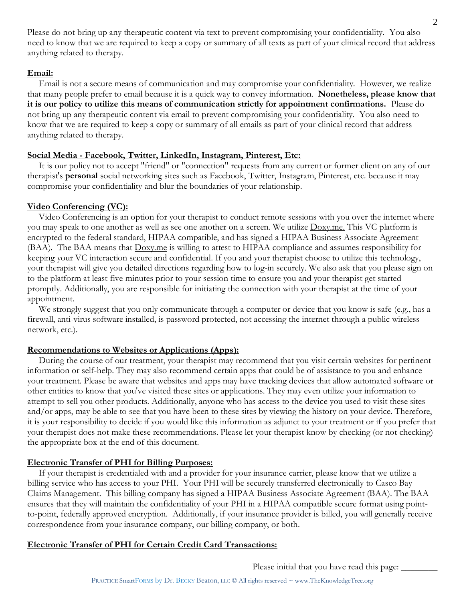Please do not bring up any therapeutic content via text to prevent compromising your confidentiality. You also need to know that we are required to keep a copy or summary of all texts as part of your clinical record that address anything related to therapy.

### **Email:**

 Email is not a secure means of communication and may compromise your confidentiality. However, we realize that many people prefer to email because it is a quick way to convey information. **Nonetheless, please know that it is our policy to utilize this means of communication strictly for appointment confirmations.** Please do not bring up any therapeutic content via email to prevent compromising your confidentiality. You also need to know that we are required to keep a copy or summary of all emails as part of your clinical record that address anything related to therapy.

### **Social Media - Facebook, Twitter, LinkedIn, Instagram, Pinterest, Etc:**

 It is our policy not to accept "friend" or "connection" requests from any current or former client on any of our therapist's **personal** social networking sites such as Facebook, Twitter, Instagram, Pinterest, etc. because it may compromise your confidentiality and blur the boundaries of your relationship.

## **Video Conferencing (VC):**

 Video Conferencing is an option for your therapist to conduct remote sessions with you over the internet where you may speak to one another as well as see one another on a screen. We utilize Doxy.me. This VC platform is encrypted to the federal standard, HIPAA compatible, and has signed a HIPAA Business Associate Agreement (BAA). The BAA means that Doxy.me is willing to attest to HIPAA compliance and assumes responsibility for keeping your VC interaction secure and confidential. If you and your therapist choose to utilize this technology, your therapist will give you detailed directions regarding how to log-in securely. We also ask that you please sign on to the platform at least five minutes prior to your session time to ensure you and your therapist get started promptly. Additionally, you are responsible for initiating the connection with your therapist at the time of your appointment.

 We strongly suggest that you only communicate through a computer or device that you know is safe (e.g., has a firewall, anti-virus software installed, is password protected, not accessing the internet through a public wireless network, etc.).

## **Recommendations to Websites or Applications (Apps):**

 During the course of our treatment, your therapist may recommend that you visit certain websites for pertinent information or self-help. They may also recommend certain apps that could be of assistance to you and enhance your treatment. Please be aware that websites and apps may have tracking devices that allow automated software or other entities to know that you've visited these sites or applications. They may even utilize your information to attempt to sell you other products. Additionally, anyone who has access to the device you used to visit these sites and/or apps, may be able to see that you have been to these sites by viewing the history on your device. Therefore, it is your responsibility to decide if you would like this information as adjunct to your treatment or if you prefer that your therapist does not make these recommendations. Please let your therapist know by checking (or not checking) the appropriate box at the end of this document.

## **Electronic Transfer of PHI for Billing Purposes:**

 If your therapist is credentialed with and a provider for your insurance carrier, please know that we utilize a billing service who has access to your PHI. Your PHI will be securely transferred electronically to Casco Bay Claims Management. This billing company has signed a HIPAA Business Associate Agreement (BAA). The BAA ensures that they will maintain the confidentiality of your PHI in a HIPAA compatible secure format using pointto-point, federally approved encryption. Additionally, if your insurance provider is billed, you will generally receive correspondence from your insurance company, our billing company, or both.

## **Electronic Transfer of PHI for Certain Credit Card Transactions:**

Please initial that you have read this page:  $\_\_$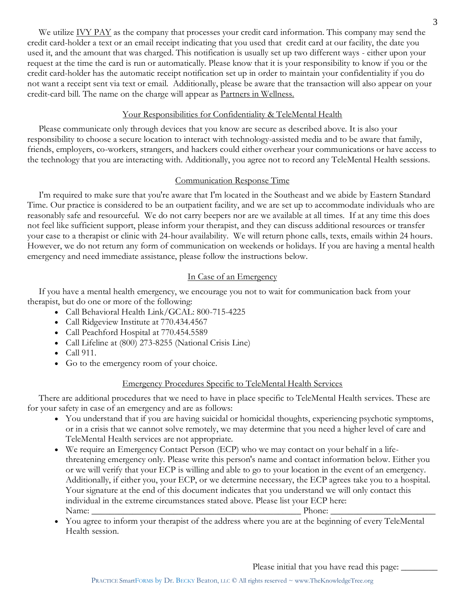We utilize <u>IVY PAY</u> as the company that processes your credit card information. This company may send the credit card-holder a text or an email receipt indicating that you used that credit card at our facility, the date you used it, and the amount that was charged. This notification is usually set up two different ways - either upon your request at the time the card is run or automatically. Please know that it is your responsibility to know if you or the credit card-holder has the automatic receipt notification set up in order to maintain your confidentiality if you do not want a receipt sent via text or email. Additionally, please be aware that the transaction will also appear on your credit-card bill. The name on the charge will appear as Partners in Wellness.

### Your Responsibilities for Confidentiality & TeleMental Health

 Please communicate only through devices that you know are secure as described above. It is also your responsibility to choose a secure location to interact with technology-assisted media and to be aware that family, friends, employers, co-workers, strangers, and hackers could either overhear your communications or have access to the technology that you are interacting with. Additionally, you agree not to record any TeleMental Health sessions.

### Communication Response Time

 I'm required to make sure that you're aware that I'm located in the Southeast and we abide by Eastern Standard Time. Our practice is considered to be an outpatient facility, and we are set up to accommodate individuals who are reasonably safe and resourceful. We do not carry beepers nor are we available at all times. If at any time this does not feel like sufficient support, please inform your therapist, and they can discuss additional resources or transfer your case to a therapist or clinic with 24-hour availability. We will return phone calls, texts, emails within 24 hours. However, we do not return any form of communication on weekends or holidays. If you are having a mental health emergency and need immediate assistance, please follow the instructions below.

#### In Case of an Emergency

 If you have a mental health emergency, we encourage you not to wait for communication back from your therapist, but do one or more of the following:

- Call Behavioral Health Link/GCAL: 800-715-4225
- Call Ridgeview Institute at 770.434.4567
- Call Peachford Hospital at 770.454.5589
- Call Lifeline at (800) 273-8255 (National Crisis Line)
- Call 911.
- Go to the emergency room of your choice.

### Emergency Procedures Specific to TeleMental Health Services

 There are additional procedures that we need to have in place specific to TeleMental Health services. These are for your safety in case of an emergency and are as follows:

- You understand that if you are having suicidal or homicidal thoughts, experiencing psychotic symptoms, or in a crisis that we cannot solve remotely, we may determine that you need a higher level of care and TeleMental Health services are not appropriate.
- We require an Emergency Contact Person (ECP) who we may contact on your behalf in a lifethreatening emergency only. Please write this person's name and contact information below. Either you or we will verify that your ECP is willing and able to go to your location in the event of an emergency. Additionally, if either you, your ECP, or we determine necessary, the ECP agrees take you to a hospital. Your signature at the end of this document indicates that you understand we will only contact this individual in the extreme circumstances stated above. Please list your ECP here: Name: \_\_\_\_\_\_\_\_\_\_\_\_\_\_\_\_\_\_\_\_\_\_\_\_\_\_\_\_\_\_\_\_\_\_\_\_\_\_\_\_\_\_\_\_\_\_ Phone: \_\_\_\_\_\_\_\_\_\_\_\_\_\_\_\_\_\_\_\_\_\_\_
- You agree to inform your therapist of the address where you are at the beginning of every TeleMental Health session.

Please initial that you have read this page: \_\_\_\_\_\_\_\_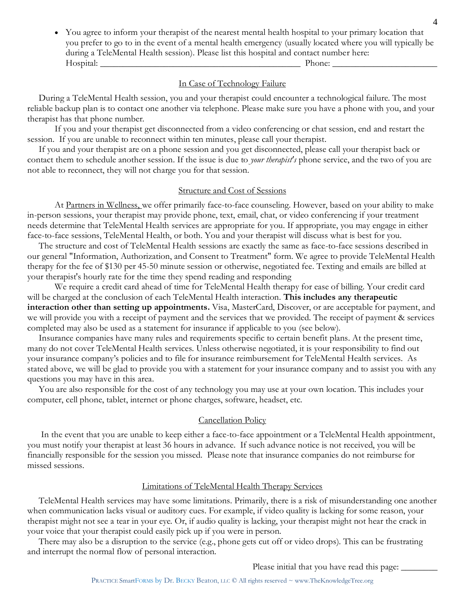• You agree to inform your therapist of the nearest mental health hospital to your primary location that you prefer to go to in the event of a mental health emergency (usually located where you will typically be during a TeleMental Health session). Please list this hospital and contact number here: Hospital: \_\_\_\_\_\_\_\_\_\_\_\_\_\_\_\_\_\_\_\_\_\_\_\_\_\_\_\_\_\_\_\_\_\_\_\_\_\_\_\_\_\_\_\_ Phone: \_\_\_\_\_\_\_\_\_\_\_\_\_\_\_\_\_\_\_\_\_\_\_

#### In Case of Technology Failure

 During a TeleMental Health session, you and your therapist could encounter a technological failure. The most reliable backup plan is to contact one another via telephone. Please make sure you have a phone with you, and your therapist has that phone number.

If you and your therapist get disconnected from a video conferencing or chat session, end and restart the session. If you are unable to reconnect within ten minutes, please call your therapist.

 If you and your therapist are on a phone session and you get disconnected, please call your therapist back or contact them to schedule another session. If the issue is due to *your therapist's* phone service, and the two of you are not able to reconnect, they will not charge you for that session.

#### Structure and Cost of Sessions

At Partners in Wellness, we offer primarily face-to-face counseling. However, based on your ability to make in-person sessions, your therapist may provide phone, text, email, chat, or video conferencing if your treatment needs determine that TeleMental Health services are appropriate for you. If appropriate, you may engage in either face-to-face sessions, TeleMental Health, or both. You and your therapist will discuss what is best for you.

 The structure and cost of TeleMental Health sessions are exactly the same as face-to-face sessions described in our general "Information, Authorization, and Consent to Treatment" form. We agree to provide TeleMental Health therapy for the fee of \$130 per 45-50 minute session or otherwise, negotiated fee. Texting and emails are billed at your therapist's hourly rate for the time they spend reading and responding

We require a credit card ahead of time for TeleMental Health therapy for ease of billing. Your credit card will be charged at the conclusion of each TeleMental Health interaction. **This includes any therapeutic interaction other than setting up appointments.** Visa, MasterCard, Discover, or are acceptable for payment, and we will provide you with a receipt of payment and the services that we provided. The receipt of payment & services completed may also be used as a statement for insurance if applicable to you (see below).

 Insurance companies have many rules and requirements specific to certain benefit plans. At the present time, many do not cover TeleMental Health services. Unless otherwise negotiated, it is your responsibility to find out your insurance company's policies and to file for insurance reimbursement for TeleMental Health services. As stated above, we will be glad to provide you with a statement for your insurance company and to assist you with any questions you may have in this area.

 You are also responsible for the cost of any technology you may use at your own location. This includes your computer, cell phone, tablet, internet or phone charges, software, headset, etc.

#### Cancellation Policy

 In the event that you are unable to keep either a face-to-face appointment or a TeleMental Health appointment, you must notify your therapist at least 36 hours in advance. If such advance notice is not received, you will be financially responsible for the session you missed. Please note that insurance companies do not reimburse for missed sessions.

#### Limitations of TeleMental Health Therapy Services

 TeleMental Health services may have some limitations. Primarily, there is a risk of misunderstanding one another when communication lacks visual or auditory cues. For example, if video quality is lacking for some reason, your therapist might not see a tear in your eye. Or, if audio quality is lacking, your therapist might not hear the crack in your voice that your therapist could easily pick up if you were in person.

 There may also be a disruption to the service (e.g., phone gets cut off or video drops). This can be frustrating and interrupt the normal flow of personal interaction.

Please initial that you have read this page: \_\_\_\_\_\_\_\_